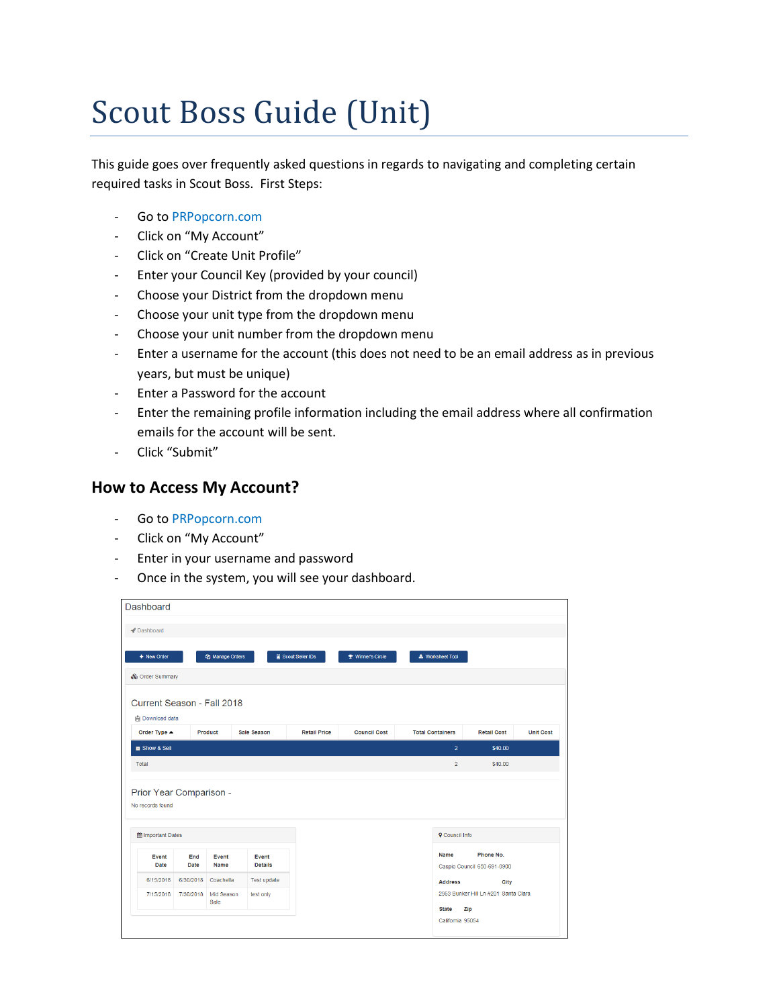# Scout Boss Guide (Unit)

This guide goes over frequently asked questions in regards to navigating and completing certain required tasks in Scout Boss. First Steps:

- Go to PRPopcorn.com
- Click on "My Account"
- Click on "Create Unit Profile"
- Enter your Council Key (provided by your council)
- Choose your District from the dropdown menu
- Choose your unit type from the dropdown menu
- Choose your unit number from the dropdown menu
- Enter a username for the account (this does not need to be an email address as in previous years, but must be unique)
- Enter a Password for the account
- Enter the remaining profile information including the email address where all confirmation emails for the account will be sent.
- Click "Submit"

#### **How to Access My Account?**

- Go to PRPopcorn.com
- Click on "My Account"
- Enter in your username and password
- Once in the system, you will see your dashboard.

| Dashboard                                                                        |           |                        |                    |                     |                                        |                         |                               |                                              |                  |
|----------------------------------------------------------------------------------|-----------|------------------------|--------------------|---------------------|----------------------------------------|-------------------------|-------------------------------|----------------------------------------------|------------------|
| Dashboard                                                                        |           |                        |                    |                     |                                        |                         |                               |                                              |                  |
| + New Order                                                                      |           | <b>图 Manage Orders</b> |                    | Scout Seller IDs    | <b><i><u>● Winner's Circle</u></i></b> | * Worksheet Tool        |                               |                                              |                  |
| & Order Summary                                                                  |           |                        |                    |                     |                                        |                         |                               |                                              |                  |
| Current Season - Fall 2018                                                       |           |                        |                    |                     |                                        |                         |                               |                                              |                  |
| 自 Download data                                                                  |           |                        |                    |                     |                                        |                         |                               |                                              |                  |
| Order Type ▲                                                                     |           | <b>Product</b>         | <b>Sale Season</b> | <b>Retail Price</b> | <b>Council Cost</b>                    | <b>Total Containers</b> |                               | <b>Retail Cost</b>                           | <b>Unit Cost</b> |
| Show & Sell                                                                      |           |                        |                    |                     |                                        |                         | $\overline{2}$                | \$40.00                                      |                  |
| <b>Total</b>                                                                     |           |                        |                    |                     |                                        |                         | $\overline{2}$                | \$40.00                                      |                  |
| Prior Year Comparison -<br>No records found<br><b>m</b> Important Dates<br>Event | End       | Event                  | Event              |                     |                                        |                         | <b>Q</b> Council Info<br>Name | Phone No.                                    |                  |
| Date                                                                             | Date      | Name                   | <b>Details</b>     |                     |                                        |                         |                               | Caspio Council 650-691-0900                  |                  |
| 6/15/2018<br>7/15/2018                                                           | 6/30/2018 | Coachella              | Test update        |                     |                                        |                         | <b>Address</b>                | City<br>2953 Bunker Hill Ln #201 Santa Clara |                  |
|                                                                                  | 7/30/2018 | Mid Season             | test only          |                     |                                        |                         |                               |                                              |                  |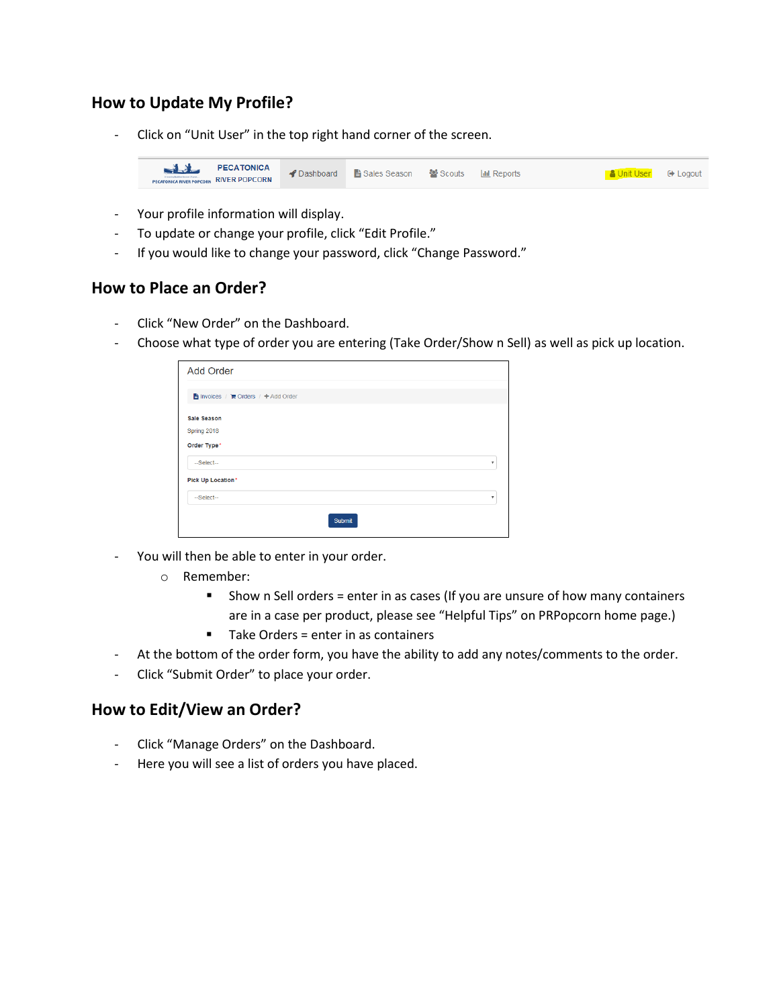## **How to Update My Profile?**

Click on "Unit User" in the top right hand corner of the screen.



- Your profile information will display.
- To update or change your profile, click "Edit Profile."
- If you would like to change your password, click "Change Password."

### **How to Place an Order?**

- Click "New Order" on the Dashboard.
- Choose what type of order you are entering (Take Order/Show n Sell) as well as pick up location.

| <b>Add Order</b>                    |               |                           |
|-------------------------------------|---------------|---------------------------|
| ■ Invoices / 胃 Orders / + Add Order |               |                           |
| Sale Season                         |               |                           |
| Spring 2018                         |               |                           |
| Order Type*                         |               |                           |
| --Select--                          |               | $\boldsymbol{\mathrm{v}}$ |
| <b>Pick Up Location*</b>            |               |                           |
| --Select--                          |               | v                         |
|                                     | <b>Submit</b> |                           |

- You will then be able to enter in your order.
	- o Remember:
		- Show n Sell orders = enter in as cases (If you are unsure of how many containers are in a case per product, please see "Helpful Tips" on PRPopcorn home page.)
		- Take Orders = enter in as containers
- At the bottom of the order form, you have the ability to add any notes/comments to the order.
- Click "Submit Order" to place your order.

#### **How to Edit/View an Order?**

- Click "Manage Orders" on the Dashboard.
- Here you will see a list of orders you have placed.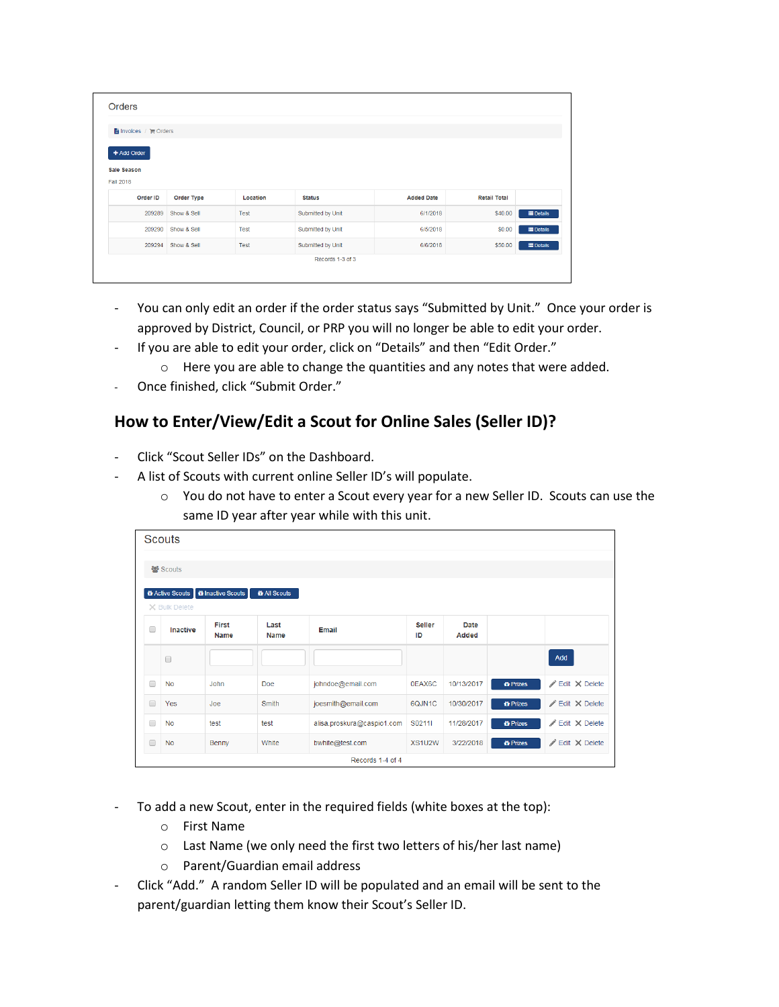| ■ Invoices / 胃 Orders |             |          |                   |                   |                     |                  |  |
|-----------------------|-------------|----------|-------------------|-------------------|---------------------|------------------|--|
| + Add Order           |             |          |                   |                   |                     |                  |  |
| Sale Season           |             |          |                   |                   |                     |                  |  |
| <b>Fall 2018</b>      |             |          |                   |                   |                     |                  |  |
| Order ID              | Order Type  | Location | <b>Status</b>     | <b>Added Date</b> | <b>Retail Total</b> |                  |  |
| 209289                | Show & Sell | Test     | Submitted by Unit | 6/1/2018          | \$40.00             | <b>E</b> Details |  |
|                       | Show & Sell | Test     | Submitted by Unit | 6/5/2018          | \$0.00              | <b>E</b> Details |  |
| 209290                |             |          |                   | 6/6/2018          | \$50.00             | <b>E</b> Details |  |
| 209294                | Show & Sell | Test     | Submitted by Unit |                   |                     |                  |  |

- You can only edit an order if the order status says "Submitted by Unit." Once your order is approved by District, Council, or PRP you will no longer be able to edit your order.
- If you are able to edit your order, click on "Details" and then "Edit Order."
	- o Here you are able to change the quantities and any notes that were added.
- Once finished, click "Submit Order."

# **How to Enter/View/Edit a Scout for Online Sales (Seller ID)?**

- Click "Scout Seller IDs" on the Dashboard.
- A list of Scouts with current online Seller ID's will populate.
	- o You do not have to enter a Scout every year for a new Seller ID. Scouts can use the same ID year after year while with this unit.

|        | <b>Scouts</b>               |                          |                            |                            |                     |               |                                   |                                 |
|--------|-----------------------------|--------------------------|----------------------------|----------------------------|---------------------|---------------|-----------------------------------|---------------------------------|
|        | 월 Scouts                    |                          |                            |                            |                     |               |                                   |                                 |
|        |                             |                          |                            |                            |                     |               |                                   |                                 |
|        | the Scouts<br>X Bulk Delete | <b>O</b> Inactive Scouts | <b><i>t</i></b> All Scouts |                            |                     |               |                                   |                                 |
| $\Box$ | Inactive                    | First<br><b>Name</b>     | Last<br><b>Name</b>        | Email                      | <b>Seller</b><br>ID | Date<br>Added |                                   |                                 |
|        | $\Box$                      |                          |                            |                            |                     |               |                                   | Add                             |
| $\Box$ | <b>No</b>                   | John                     | Doe                        | johndoe@email.com          | 0EAX6C              | 10/13/2017    | <b><i><del>l</del></i></b> Prizes | $\angle$ Edit $\times$ Delete   |
| $\Box$ | Yes                         | Joe                      | Smith                      | joesmith@email.com         | 6QJN1C              | 10/30/2017    | <b><i><del>i</del></i></b> Prizes | <b>∕Edit X Delete</b>           |
| $\Box$ | <b>No</b>                   | test                     | test                       | alisa.proskura@caspio1.com | S0211I              | 11/28/2017    | <b>in</b> Prizes                  | $\nearrow$ Edit $\times$ Delete |
| $\Box$ | <b>No</b>                   | Benny                    | White                      | bwhite@test.com            | XS1U2W              | 3/22/2018     | <b><i><u>i</u></i></b> Prizes     | $\angle$ Edit $\times$ Delete   |
|        |                             |                          |                            | Records 1-4 of 4           |                     |               |                                   |                                 |

- To add a new Scout, enter in the required fields (white boxes at the top):
	- o First Name
	- o Last Name (we only need the first two letters of his/her last name)
	- o Parent/Guardian email address
- Click "Add." A random Seller ID will be populated and an email will be sent to the parent/guardian letting them know their Scout's Seller ID.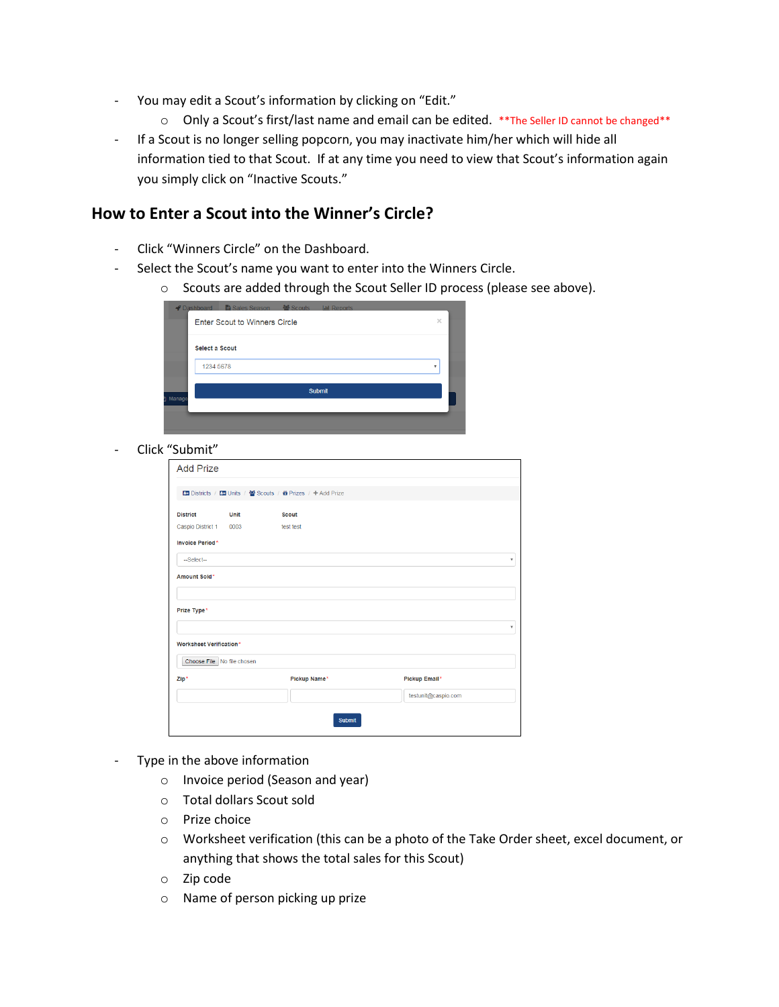- You may edit a Scout's information by clicking on "Edit."
	- o Only a Scout's first/last name and email can be edited. \*\* The Seller ID cannot be changed \*\*
- If a Scout is no longer selling popcorn, you may inactivate him/her which will hide all information tied to that Scout. If at any time you need to view that Scout's information again you simply click on "Inactive Scouts."

#### **How to Enter a Scout into the Winner's Circle?**

- Click "Winners Circle" on the Dashboard.
- Select the Scout's name you want to enter into the Winners Circle.
	- o Scouts are added through the Scout Seller ID process (please see above).

| Dashboard B Sales Season Secouts   In Reports |          |
|-----------------------------------------------|----------|
| <b>Enter Scout to Winners Circle</b>          | $\times$ |
| <b>Select a Scout</b>                         |          |
| 1234 5678                                     | v        |
| <b>Submit</b><br>Manage                       |          |
|                                               |          |

- Click "Submit"

| <b>Add Prize</b>               |             |                                                           |                     |  |  |  |  |  |
|--------------------------------|-------------|-----------------------------------------------------------|---------------------|--|--|--|--|--|
|                                |             | 国 Districts / 国 Units / 營 Scouts / 备 Prizes / 十 Add Prize |                     |  |  |  |  |  |
| <b>District</b>                | <b>Unit</b> | <b>Scout</b>                                              |                     |  |  |  |  |  |
| Caspio District 1              | 0003        | test test                                                 |                     |  |  |  |  |  |
| <b>Invoice Period*</b>         |             |                                                           |                     |  |  |  |  |  |
| $-Select$                      |             |                                                           | ٧                   |  |  |  |  |  |
| Amount Sold*                   |             |                                                           |                     |  |  |  |  |  |
|                                |             |                                                           |                     |  |  |  |  |  |
| Prize Type*                    |             |                                                           |                     |  |  |  |  |  |
|                                |             |                                                           | ۷                   |  |  |  |  |  |
| <b>Worksheet Verification*</b> |             |                                                           |                     |  |  |  |  |  |
| Choose File No file chosen     |             |                                                           |                     |  |  |  |  |  |
| Zip*                           |             | Pickup Name*                                              | Pickup Email*       |  |  |  |  |  |
|                                |             |                                                           | testunit@caspio.com |  |  |  |  |  |
|                                |             | Submit                                                    |                     |  |  |  |  |  |

- Type in the above information
	- o Invoice period (Season and year)
	- o Total dollars Scout sold
	- o Prize choice
	- o Worksheet verification (this can be a photo of the Take Order sheet, excel document, or anything that shows the total sales for this Scout)
	- o Zip code
	- o Name of person picking up prize